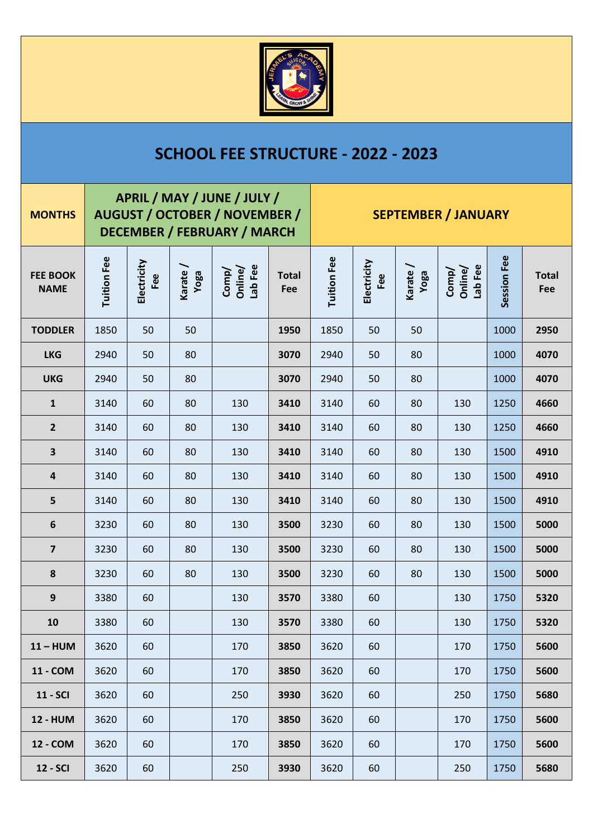

## **SCHOOL FEE STRUCTURE - 2022 - 2023**

| <b>MONTHS</b>                  | APRIL / MAY / JUNE / JULY /<br><b>AUGUST / OCTOBER / NOVEMBER /</b><br><b>DECEMBER / FEBRUARY / MARCH</b> |                    |                 |                             |                     | <b>SEPTEMBER / JANUARY</b> |                    |                 |                             |             |                     |
|--------------------------------|-----------------------------------------------------------------------------------------------------------|--------------------|-----------------|-----------------------------|---------------------|----------------------------|--------------------|-----------------|-----------------------------|-------------|---------------------|
| <b>FEE BOOK</b><br><b>NAME</b> | Tuition Fee                                                                                               | Electricity<br>Fee | Karate/<br>Noga | Lab Fee<br>Comp/<br>Online/ | <b>Total</b><br>Fee | <b>Tuition Fee</b>         | Electricity<br>Fee | Karate/<br>Yoga | Lab Fee<br>Comp/<br>Online/ | Session Fee | <b>Total</b><br>Fee |
| <b>TODDLER</b>                 | 1850                                                                                                      | 50                 | 50              |                             | 1950                | 1850                       | 50                 | 50              |                             | 1000        | 2950                |
| <b>LKG</b>                     | 2940                                                                                                      | 50                 | 80              |                             | 3070                | 2940                       | 50                 | 80              |                             | 1000        | 4070                |
| <b>UKG</b>                     | 2940                                                                                                      | 50                 | 80              |                             | 3070                | 2940                       | 50                 | 80              |                             | 1000        | 4070                |
| $\mathbf{1}$                   | 3140                                                                                                      | 60                 | 80              | 130                         | 3410                | 3140                       | 60                 | 80              | 130                         | 1250        | 4660                |
| $\overline{2}$                 | 3140                                                                                                      | 60                 | 80              | 130                         | 3410                | 3140                       | 60                 | 80              | 130                         | 1250        | 4660                |
| $\overline{\mathbf{3}}$        | 3140                                                                                                      | 60                 | 80              | 130                         | 3410                | 3140                       | 60                 | 80              | 130                         | 1500        | 4910                |
| $\overline{\mathbf{4}}$        | 3140                                                                                                      | 60                 | 80              | 130                         | 3410                | 3140                       | 60                 | 80              | 130                         | 1500        | 4910                |
| 5                              | 3140                                                                                                      | 60                 | 80              | 130                         | 3410                | 3140                       | 60                 | 80              | 130                         | 1500        | 4910                |
| 6                              | 3230                                                                                                      | 60                 | 80              | 130                         | 3500                | 3230                       | 60                 | 80              | 130                         | 1500        | 5000                |
| $\overline{\mathbf{z}}$        | 3230                                                                                                      | 60                 | 80              | 130                         | 3500                | 3230                       | 60                 | 80              | 130                         | 1500        | 5000                |
| $\pmb{8}$                      | 3230                                                                                                      | 60                 | 80              | 130                         | 3500                | 3230                       | 60                 | 80              | 130                         | 1500        | 5000                |
| $\boldsymbol{9}$               | 3380                                                                                                      | 60                 |                 | 130                         | 3570                | 3380                       | 60                 |                 | 130                         | 1750        | 5320                |
| 10                             | 3380                                                                                                      | 60                 |                 | 130                         | 3570                | 3380                       | 60                 |                 | 130                         | 1750        | 5320                |
| $11 - HUM$                     | 3620                                                                                                      | 60                 |                 | 170                         | 3850                | 3620                       | 60                 |                 | 170                         | 1750        | 5600                |
| 11 - COM                       | 3620                                                                                                      | 60                 |                 | 170                         | 3850                | 3620                       | 60                 |                 | 170                         | 1750        | 5600                |
| <b>11 - SCI</b>                | 3620                                                                                                      | 60                 |                 | 250                         | 3930                | 3620                       | 60                 |                 | 250                         | 1750        | 5680                |
| <b>12 - HUM</b>                | 3620                                                                                                      | 60                 |                 | 170                         | 3850                | 3620                       | 60                 |                 | 170                         | 1750        | 5600                |
| 12 - COM                       | 3620                                                                                                      | 60                 |                 | 170                         | 3850                | 3620                       | 60                 |                 | 170                         | 1750        | 5600                |
| <b>12 - SCI</b>                | 3620                                                                                                      | 60                 |                 | 250                         | 3930                | 3620                       | 60                 |                 | 250                         | 1750        | 5680                |